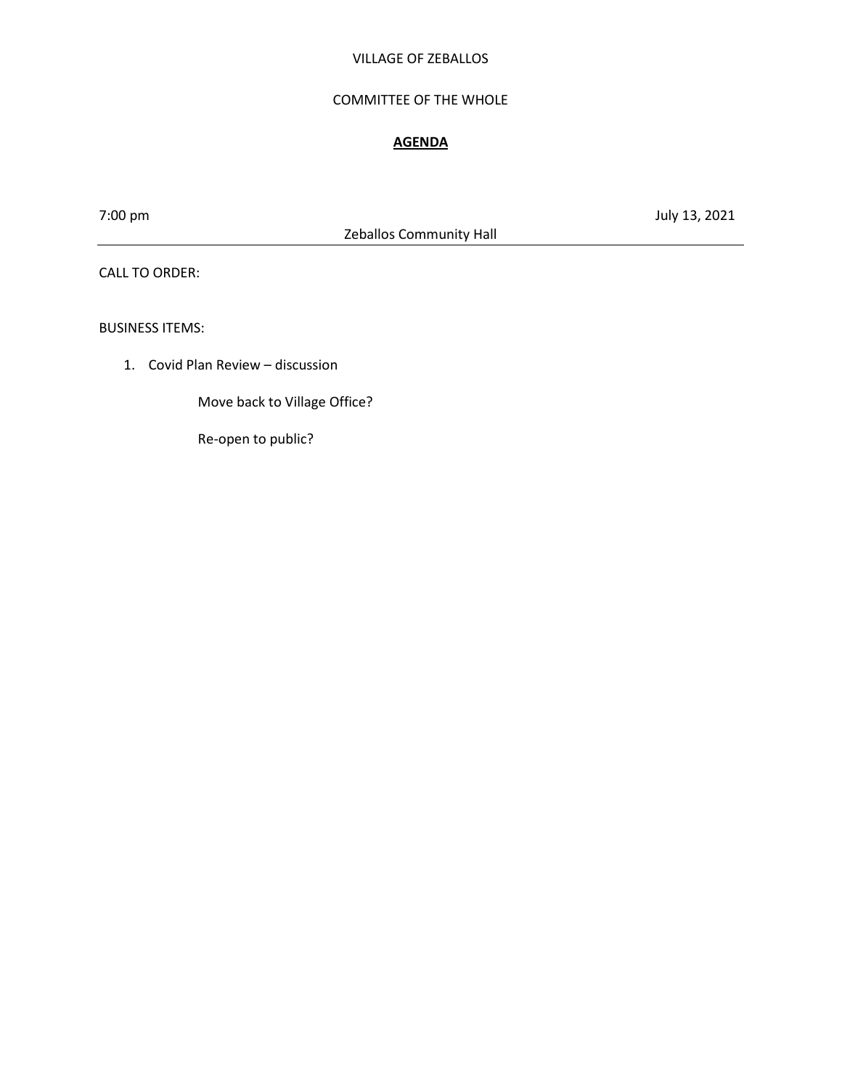### VILLAGE OF ZEBALLOS

### COMMITTEE OF THE WHOLE

### **AGENDA**

Zeballos Community Hall

7:00 pm July 13, 2021

CALL TO ORDER:

BUSINESS ITEMS:

1. Covid Plan Review – discussion

Move back to Village Office?

Re-open to public?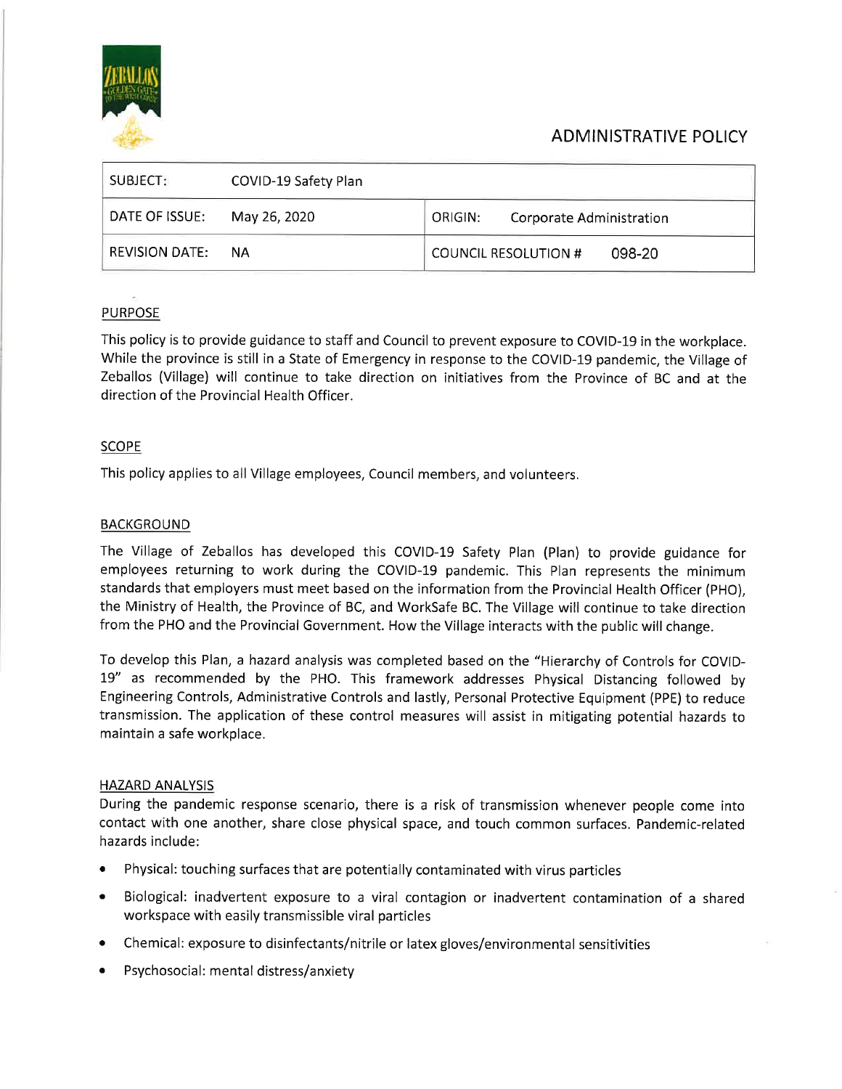

# **ADMINISTRATIVE POLICY**

| SUBJECT:              | COVID-19 Safety Plan |                                       |
|-----------------------|----------------------|---------------------------------------|
| DATE OF ISSUE:        | May 26, 2020         | ORIGIN:<br>Corporate Administration   |
| <b>REVISION DATE:</b> | NА                   | <b>COUNCIL RESOLUTION #</b><br>098-20 |

# **PURPOSE**

This policy is to provide guidance to staff and Council to prevent exposure to COVID-19 in the workplace. While the province is still in a State of Emergency in response to the COVID-19 pandemic, the Village of Zeballos (Village) will continue to take direction on initiatives from the Province of BC and at the direction of the Provincial Health Officer.

## **SCOPE**

This policy applies to all Village employees, Council members, and volunteers.

### **BACKGROUND**

The Village of Zeballos has developed this COVID-19 Safety Plan (Plan) to provide guidance for employees returning to work during the COVID-19 pandemic. This Plan represents the minimum standards that employers must meet based on the information from the Provincial Health Officer (PHO), the Ministry of Health, the Province of BC, and WorkSafe BC. The Village will continue to take direction from the PHO and the Provincial Government. How the Village interacts with the public will change.

To develop this Plan, a hazard analysis was completed based on the "Hierarchy of Controls for COVID-19" as recommended by the PHO. This framework addresses Physical Distancing followed by Engineering Controls, Administrative Controls and lastly, Personal Protective Equipment (PPE) to reduce transmission. The application of these control measures will assist in mitigating potential hazards to maintain a safe workplace.

### **HAZARD ANALYSIS**

During the pandemic response scenario, there is a risk of transmission whenever people come into contact with one another, share close physical space, and touch common surfaces. Pandemic-related hazards include:

- Physical: touching surfaces that are potentially contaminated with virus particles  $\bullet$
- Biological: inadvertent exposure to a viral contagion or inadvertent contamination of a shared workspace with easily transmissible viral particles
- $\bullet$ Chemical: exposure to disinfectants/nitrile or latex gloves/environmental sensitivities
- Psychosocial: mental distress/anxiety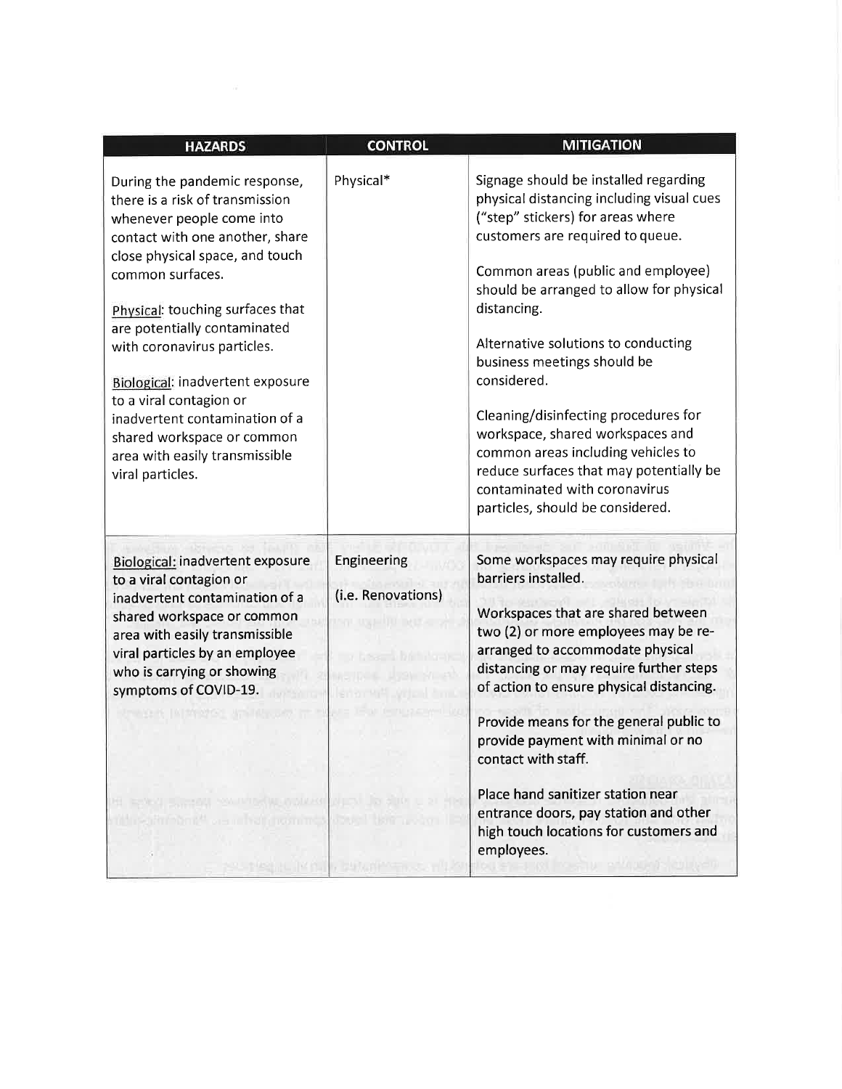| <b>HAZARDS</b>                                                                                                                                                                                                                                                                                                                                                                                                                                                                  | <b>CONTROL</b>                                                 | <b>MITIGATION</b>                                                                                                                                                                                                                                                                                                                                                                                                                                                                                                                                                                   |
|---------------------------------------------------------------------------------------------------------------------------------------------------------------------------------------------------------------------------------------------------------------------------------------------------------------------------------------------------------------------------------------------------------------------------------------------------------------------------------|----------------------------------------------------------------|-------------------------------------------------------------------------------------------------------------------------------------------------------------------------------------------------------------------------------------------------------------------------------------------------------------------------------------------------------------------------------------------------------------------------------------------------------------------------------------------------------------------------------------------------------------------------------------|
| During the pandemic response,<br>there is a risk of transmission<br>whenever people come into<br>contact with one another, share<br>close physical space, and touch<br>common surfaces.<br>Physical: touching surfaces that<br>are potentially contaminated<br>with coronavirus particles.<br>Biological: inadvertent exposure<br>to a viral contagion or<br>inadvertent contamination of a<br>shared workspace or common<br>area with easily transmissible<br>viral particles. | Physical*                                                      | Signage should be installed regarding<br>physical distancing including visual cues<br>("step" stickers) for areas where<br>customers are required to queue.<br>Common areas (public and employee)<br>should be arranged to allow for physical<br>distancing.<br>Alternative solutions to conducting<br>business meetings should be<br>considered.<br>Cleaning/disinfecting procedures for<br>workspace, shared workspaces and<br>common areas including vehicles to<br>reduce surfaces that may potentially be<br>contaminated with coronavirus<br>particles, should be considered. |
| <b>Biological: inadvertent exposure</b><br>to a viral contagion or<br>inadvertent contamination of a<br>shared workspace or common<br>area with easily transmissible<br>viral particles by an employee<br>who is carrying or showing<br>symptoms of COVID-19.<br><b>ie in Palli nomine</b>                                                                                                                                                                                      | Engineering<br>(i.e. Renovations)<br>of the control of the bar | Some workspaces may require physical<br>barriers installed.<br>Workspaces that are shared between<br>two (2) or more employees may be re-<br>arranged to accommodate physical<br>distancing or may require further steps<br>of action to ensure physical distancing.<br>Provide means for the general public to<br>provide payment with minimal or no<br>contact with staff.<br>Place hand sanitizer station near<br>entrance doors, pay station and other<br>high touch locations for customers and<br>employees.                                                                  |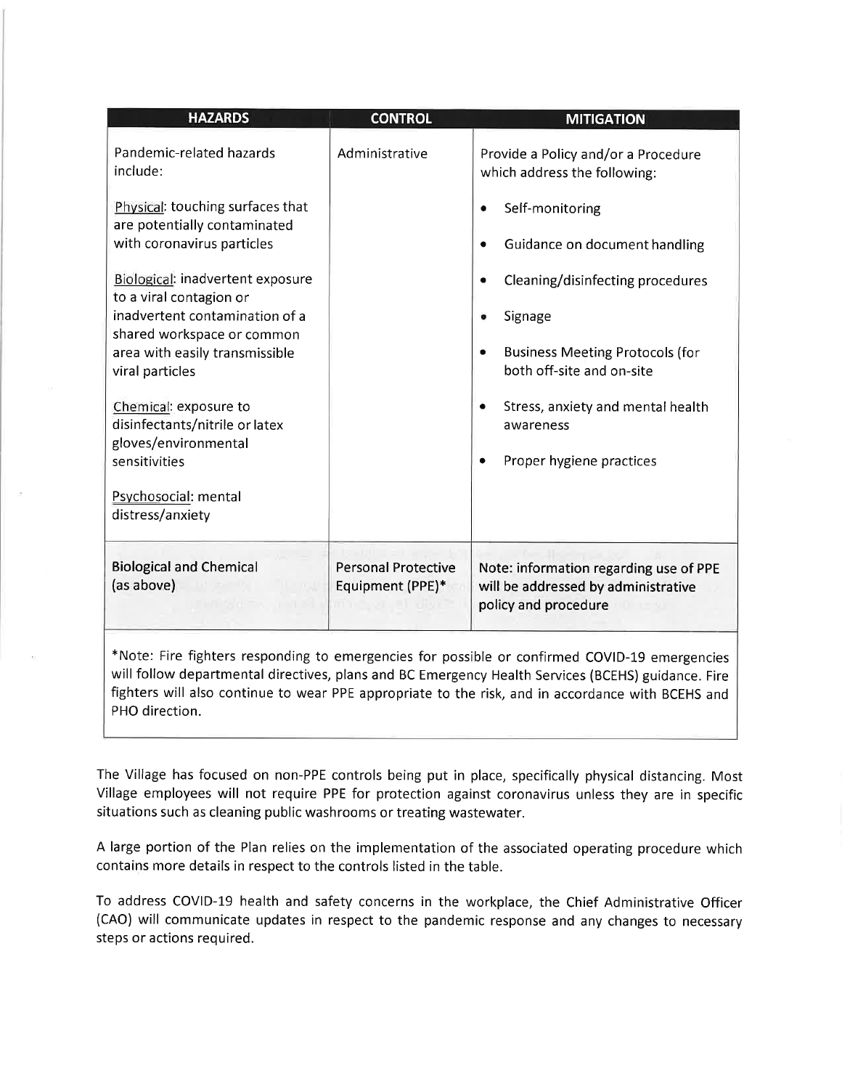| <b>HAZARDS</b>                                                                                                                                                                                                                                                                                                             | <b>CONTROL</b>                                 | <b>MITIGATION</b>                                                                                                                                   |  |  |
|----------------------------------------------------------------------------------------------------------------------------------------------------------------------------------------------------------------------------------------------------------------------------------------------------------------------------|------------------------------------------------|-----------------------------------------------------------------------------------------------------------------------------------------------------|--|--|
| Pandemic-related hazards<br>include:<br>Physical: touching surfaces that<br>are potentially contaminated                                                                                                                                                                                                                   | Administrative                                 | Provide a Policy and/or a Procedure<br>which address the following:<br>Self-monitoring<br>٠                                                         |  |  |
| with coronavirus particles<br>Biological: inadvertent exposure<br>to a viral contagion or<br>inadvertent contamination of a<br>shared workspace or common<br>area with easily transmissible<br>viral particles                                                                                                             |                                                | Guidance on document handling<br>Cleaning/disinfecting procedures<br>Signage<br><b>Business Meeting Protocols (for</b><br>both off-site and on-site |  |  |
| Chemical: exposure to<br>disinfectants/nitrile or latex<br>gloves/environmental<br>sensitivities<br>Psychosocial: mental<br>distress/anxiety                                                                                                                                                                               |                                                | Stress, anxiety and mental health<br>awareness<br>Proper hygiene practices                                                                          |  |  |
| <b>Biological and Chemical</b><br>(as above)                                                                                                                                                                                                                                                                               | <b>Personal Protective</b><br>Equipment (PPE)* | Note: information regarding use of PPE<br>will be addressed by administrative<br>policy and procedure                                               |  |  |
| *Note: Fire fighters responding to emergencies for possible or confirmed COVID-19 emergencies<br>will follow departmental directives, plans and BC Emergency Health Services (BCEHS) guidance. Fire<br>fighters will also continue to wear PPE appropriate to the risk, and in accordance with BCEHS and<br>PHO direction. |                                                |                                                                                                                                                     |  |  |

The Village has focused on non-PPE controls being put in place, specifically physical distancing. Most Village employees will not require PPE for protection against coronavirus unless they are in specific situations such as cleaning public washrooms or treating wastewater.

A large portion of the Plan relies on the implementation of the associated operating procedure which contains more details in respect to the controls listed in the table.

To address COVID-19 health and safety concerns in the workplace, the Chief Administrative Officer (CAO) will communicate updates in respect to the pandemic response and any changes to necessary steps or actions required.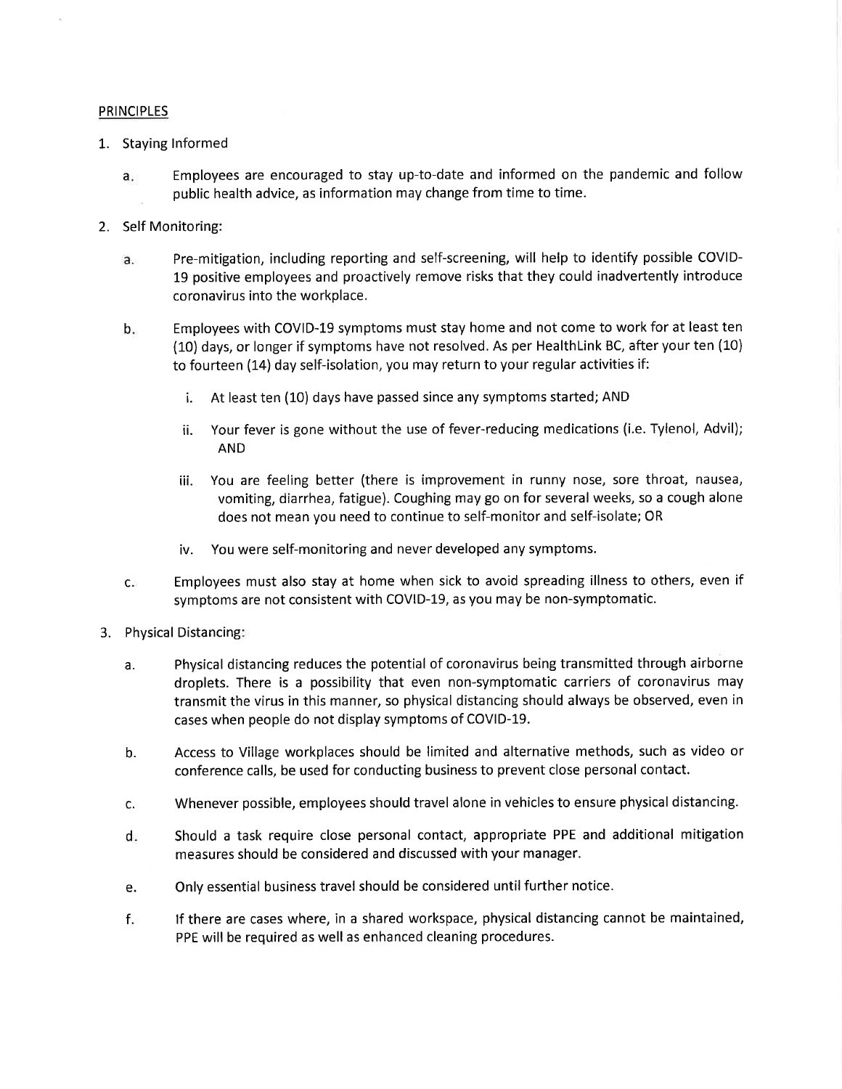#### **PRINCIPLES**

- 1. Staying Informed
	- Employees are encouraged to stay up-to-date and informed on the pandemic and follow  $a.$ public health advice, as information may change from time to time.
- 2. Self Monitoring:
	- Pre-mitigation, including reporting and self-screening, will help to identify possible COVID $a.$ 19 positive employees and proactively remove risks that they could inadvertently introduce coronavirus into the workplace.
	- Employees with COVID-19 symptoms must stay home and not come to work for at least ten  $b.$ (10) days, or longer if symptoms have not resolved. As per HealthLink BC, after your ten (10) to fourteen (14) day self-isolation, you may return to your regular activities if:
		- At least ten (10) days have passed since any symptoms started; AND i.
		- Your fever is gone without the use of fever-reducing medications (i.e. Tylenol, Advil); ii. **AND**
		- You are feeling better (there is improvement in runny nose, sore throat, nausea, iii. vomiting, diarrhea, fatigue). Coughing may go on for several weeks, so a cough alone does not mean you need to continue to self-monitor and self-isolate; OR
		- You were self-monitoring and never developed any symptoms. iv.
	- Employees must also stay at home when sick to avoid spreading illness to others, even if  $C_{\rm eff}$ symptoms are not consistent with COVID-19, as you may be non-symptomatic.
- 3. Physical Distancing:
	- Physical distancing reduces the potential of coronavirus being transmitted through airborne a. droplets. There is a possibility that even non-symptomatic carriers of coronavirus may transmit the virus in this manner, so physical distancing should always be observed, even in cases when people do not display symptoms of COVID-19.
	- b. Access to Village workplaces should be limited and alternative methods, such as video or conference calls, be used for conducting business to prevent close personal contact.
	- Whenever possible, employees should travel alone in vehicles to ensure physical distancing. c.
	- Should a task require close personal contact, appropriate PPE and additional mitigation  $d_{\mathbb{F}}$ measures should be considered and discussed with your manager.
	- Only essential business travel should be considered until further notice. e.
	- $f_{\rm F}$ If there are cases where, in a shared workspace, physical distancing cannot be maintained, PPE will be required as well as enhanced cleaning procedures.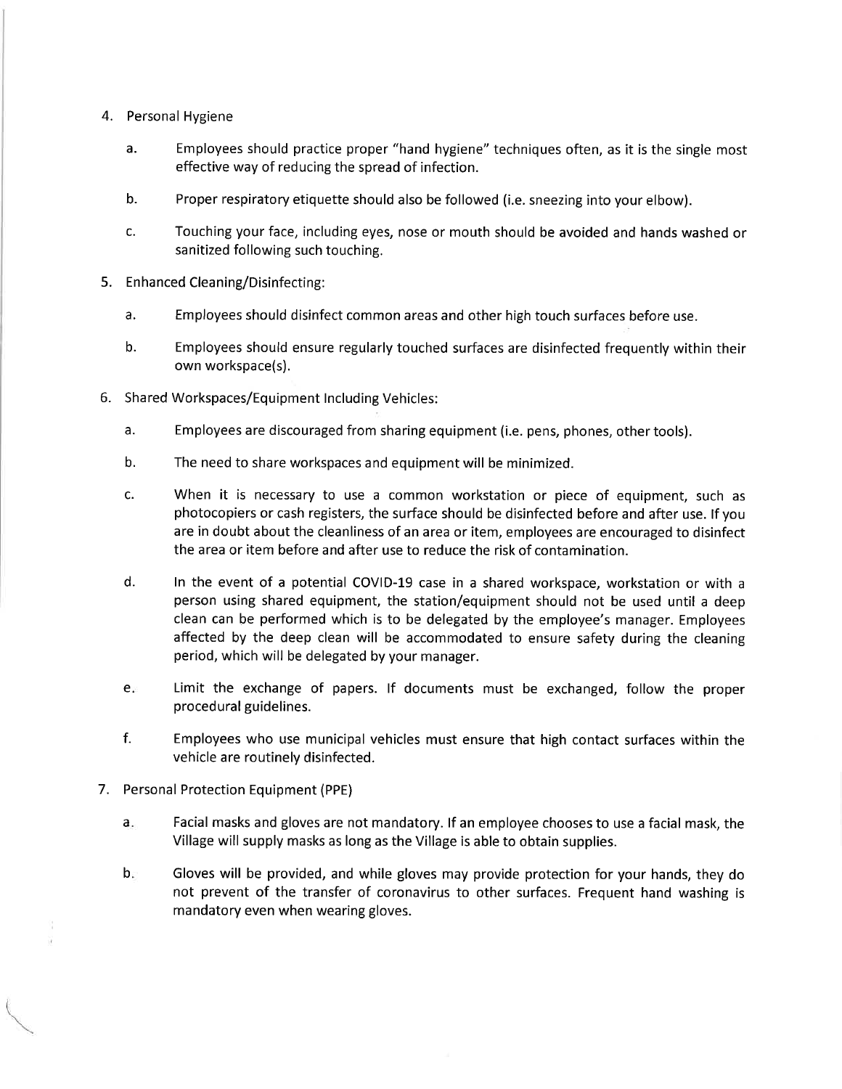- 4. Personal Hygiene
	- Employees should practice proper "hand hygiene" techniques often, as it is the single most  $a<sub>r</sub>$ effective way of reducing the spread of infection.
	- b. Proper respiratory etiquette should also be followed (i.e. sneezing into your elbow).
	- $\mathsf{C}$ . Touching your face, including eyes, nose or mouth should be avoided and hands washed or sanitized following such touching.
- 5. Enhanced Cleaning/Disinfecting:
	- a. Employees should disinfect common areas and other high touch surfaces before use.
	- $b.$ Employees should ensure regularly touched surfaces are disinfected frequently within their own workspace(s).
- 6. Shared Workspaces/Equipment Including Vehicles:
	- a. Employees are discouraged from sharing equipment (i.e. pens, phones, other tools).
	- $<sub>b</sub>$ .</sub> The need to share workspaces and equipment will be minimized.
	- c. When it is necessary to use a common workstation or piece of equipment, such as photocopiers or cash registers, the surface should be disinfected before and after use. If you are in doubt about the cleanliness of an area or item, employees are encouraged to disinfect the area or item before and after use to reduce the risk of contamination.
	- $d.$ In the event of a potential COVID-19 case in a shared workspace, workstation or with a person using shared equipment, the station/equipment should not be used until a deep clean can be performed which is to be delegated by the employee's manager. Employees affected by the deep clean will be accommodated to ensure safety during the cleaning period, which will be delegated by your manager.
	- $e_{\overline{r}}$ Limit the exchange of papers. If documents must be exchanged, follow the proper procedural guidelines.
	- $f<sub>r</sub>$ Employees who use municipal vehicles must ensure that high contact surfaces within the vehicle are routinely disinfected.
- 7. Personal Protection Equipment (PPE)
	- Facial masks and gloves are not mandatory. If an employee chooses to use a facial mask, the  $a_{\star}$ Village will supply masks as long as the Village is able to obtain supplies.
	- $b_{\rm F}$ Gloves will be provided, and while gloves may provide protection for your hands, they do not prevent of the transfer of coronavirus to other surfaces. Frequent hand washing is mandatory even when wearing gloves.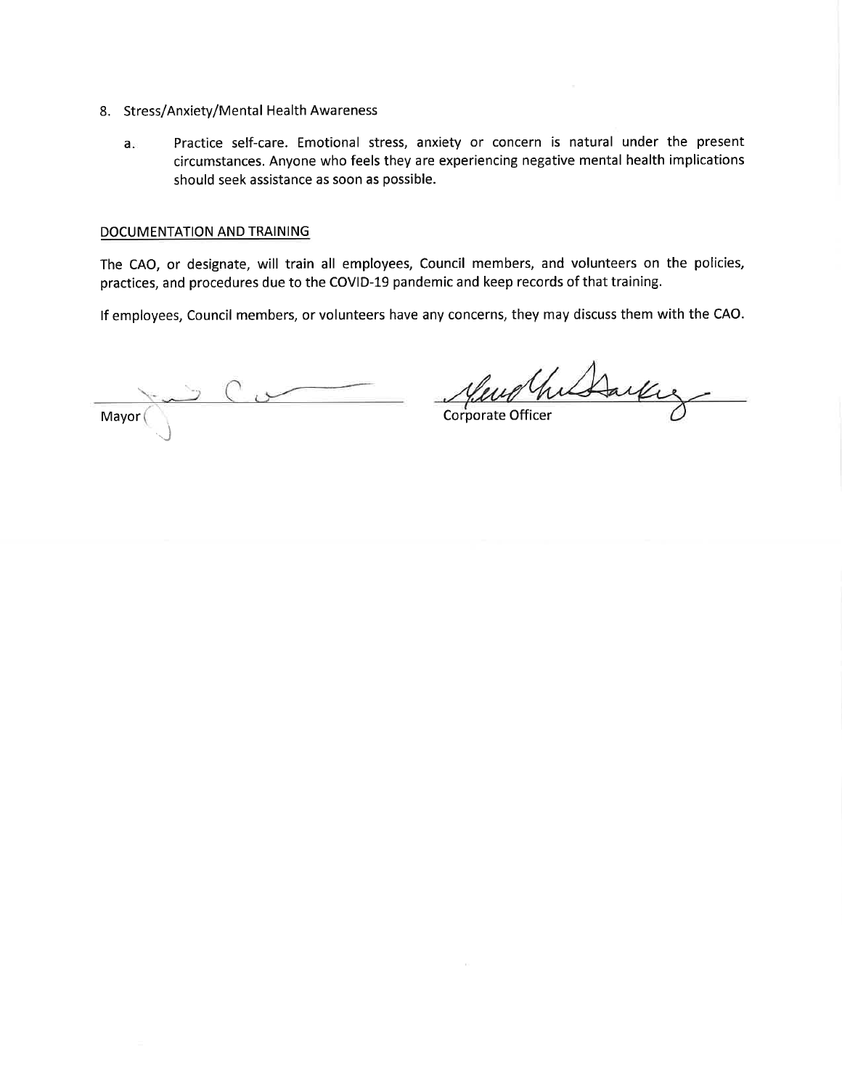- 8. Stress/Anxiety/Mental Health Awareness
	- Practice self-care. Emotional stress, anxiety or concern is natural under the present a circumstances. Anyone who feels they are experiencing negative mental health implications should seek assistance as soon as possible.

#### DOCUMENTATION AND TRAINING

The CAO, or designate, will train all employees, Council members, and volunteers on the policies, practices, and procedures due to the COVID-19 pandemic and keep records of that training.

If employees, Council members, or volunteers have any concerns, they may discuss them with the CAO.

Mayor

Wharkey *MWUM*<br>Corporate Officer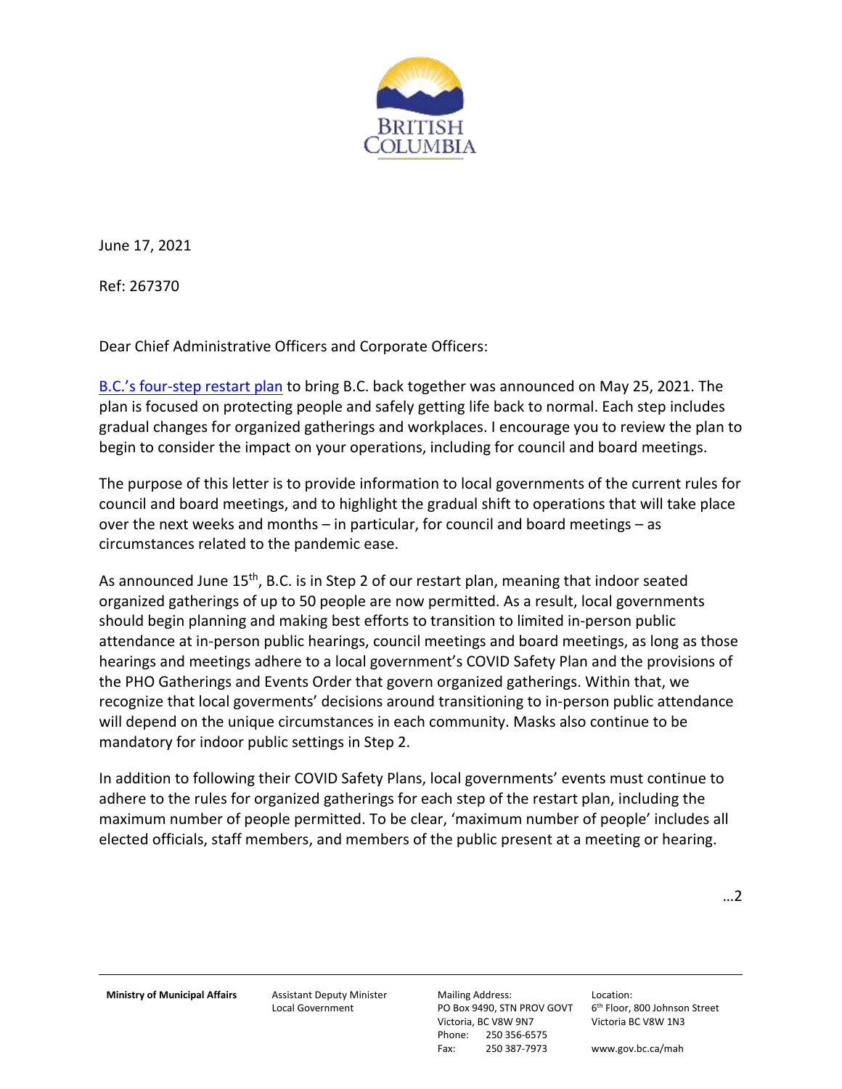

June 17, 2021

Ref: 267370

Dear Chief Administrative Officers and Corporate Officers:

B.C.'s four[-step restart plan](https://www2.gov.bc.ca/gov/content/covid-19/info/restart) to bring B.C. back together was announced on May 25, 2021. The plan is focused on protecting people and safely getting life back to normal. Each step includes gradual changes for organized gatherings and workplaces. I encourage you to review the plan to begin to consider the impact on your operations, including for council and board meetings.

The purpose of this letter is to provide information to local governments of the current rules for council and board meetings, and to highlight the gradual shift to operations that will take place over the next weeks and months – in particular, for council and board meetings – as circumstances related to the pandemic ease.

As announced June 15<sup>th</sup>, B.C. is in Step 2 of our restart plan, meaning that indoor seated organized gatherings of up to 50 people are now permitted. As a result, local governments should begin planning and making best efforts to transition to limited in-person public attendance at in-person public hearings, council meetings and board meetings, as long as those hearings and meetings adhere to a local government's COVID Safety Plan and the provisions of the PHO Gatherings and Events Order that govern organized gatherings. Within that, we recognize that local goverments' decisions around transitioning to in-person public attendance will depend on the unique circumstances in each community. Masks also continue to be mandatory for indoor public settings in Step 2.

In addition to following their COVID Safety Plans, local governments' events must continue to adhere to the rules for organized gatherings for each step of the restart plan, including the maximum number of people permitted. To be clear, 'maximum number of people' includes all elected officials, staff members, and members of the public present at a meeting or hearing.

…2

**Ministry of Municipal Affairs** Assistant Deputy Minister

Local Government

Mailing Address: PO Box 9490, STN PROV GOVT Victoria, BC V8W 9N7 Phone: 250 356-6575 Fax: 250 387-7973

Location: 6<sup>th</sup> Floor, 800 Johnson Street Victoria BC V8W 1N3

www.gov.bc.ca/mah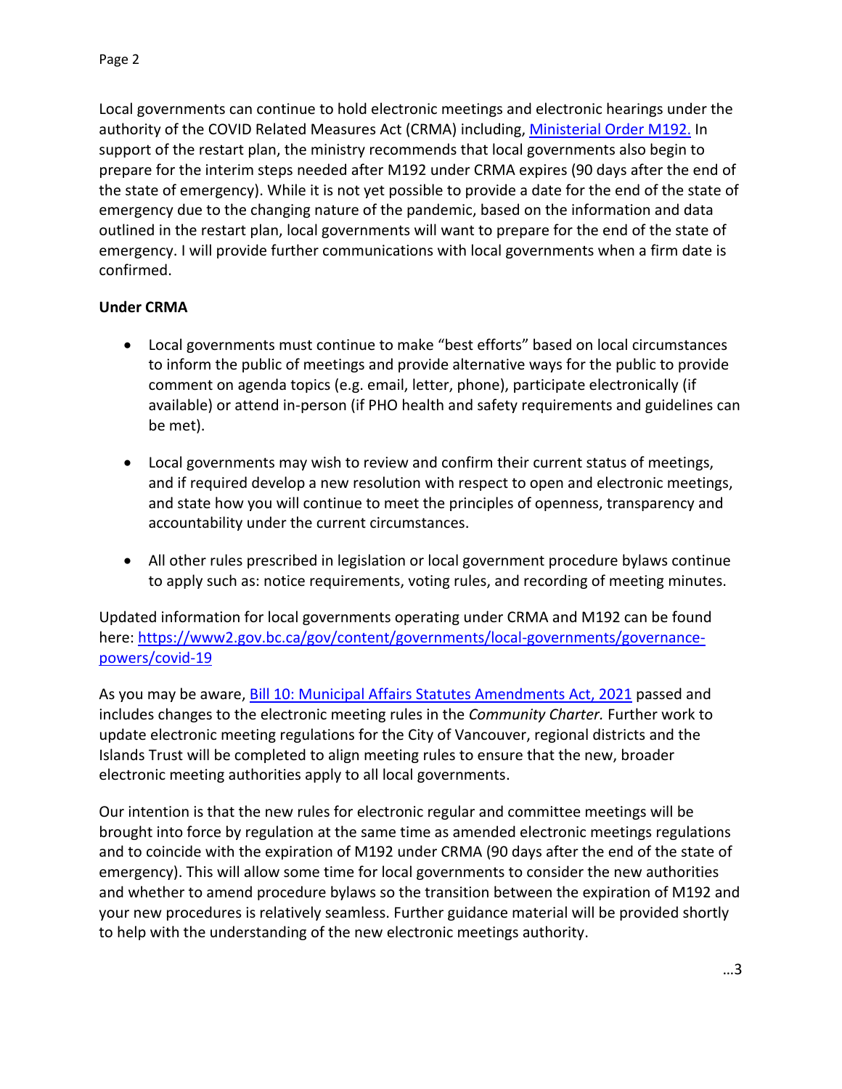Local governments can continue to hold electronic meetings and electronic hearings under the authority of the COVID Related Measures Act (CRMA) including, [Ministerial Order M192.](https://www.bclaws.ca/civix/document/id/mo/mo/m0192_2020) In support of the restart plan, the ministry recommends that local governments also begin to prepare for the interim steps needed after M192 under CRMA expires (90 days after the end of the state of emergency). While it is not yet possible to provide a date for the end of the state of emergency due to the changing nature of the pandemic, based on the information and data outlined in the restart plan, local governments will want to prepare for the end of the state of emergency. I will provide further communications with local governments when a firm date is confirmed.

# **Under CRMA**

- Local governments must continue to make "best efforts" based on local circumstances to inform the public of meetings and provide alternative ways for the public to provide comment on agenda topics (e.g. email, letter, phone), participate electronically (if available) or attend in-person (if PHO health and safety requirements and guidelines can be met).
- Local governments may wish to review and confirm their current status of meetings, and if required develop a new resolution with respect to open and electronic meetings, and state how you will continue to meet the principles of openness, transparency and accountability under the current circumstances.
- All other rules prescribed in legislation or local government procedure bylaws continue to apply such as: notice requirements, voting rules, and recording of meeting minutes.

Updated information for local governments operating under CRMA and M192 can be found here: [https://www2.gov.bc.ca/gov/content/governments/local-governments/governance](https://www2.gov.bc.ca/gov/content/governments/local-governments/governance-powers/covid-19)[powers/covid-19](https://www2.gov.bc.ca/gov/content/governments/local-governments/governance-powers/covid-19) 

As you may be aware, **Bill 10: Municipal Affairs Statutes Amendments Act, 2021** passed and includes changes to the electronic meeting rules in the *Community Charter.* Further work to update electronic meeting regulations for the City of Vancouver, regional districts and the Islands Trust will be completed to align meeting rules to ensure that the new, broader electronic meeting authorities apply to all local governments.

Our intention is that the new rules for electronic regular and committee meetings will be brought into force by regulation at the same time as amended electronic meetings regulations and to coincide with the expiration of M192 under CRMA (90 days after the end of the state of emergency). This will allow some time for local governments to consider the new authorities and whether to amend procedure bylaws so the transition between the expiration of M192 and your new procedures is relatively seamless. Further guidance material will be provided shortly to help with the understanding of the new electronic meetings authority.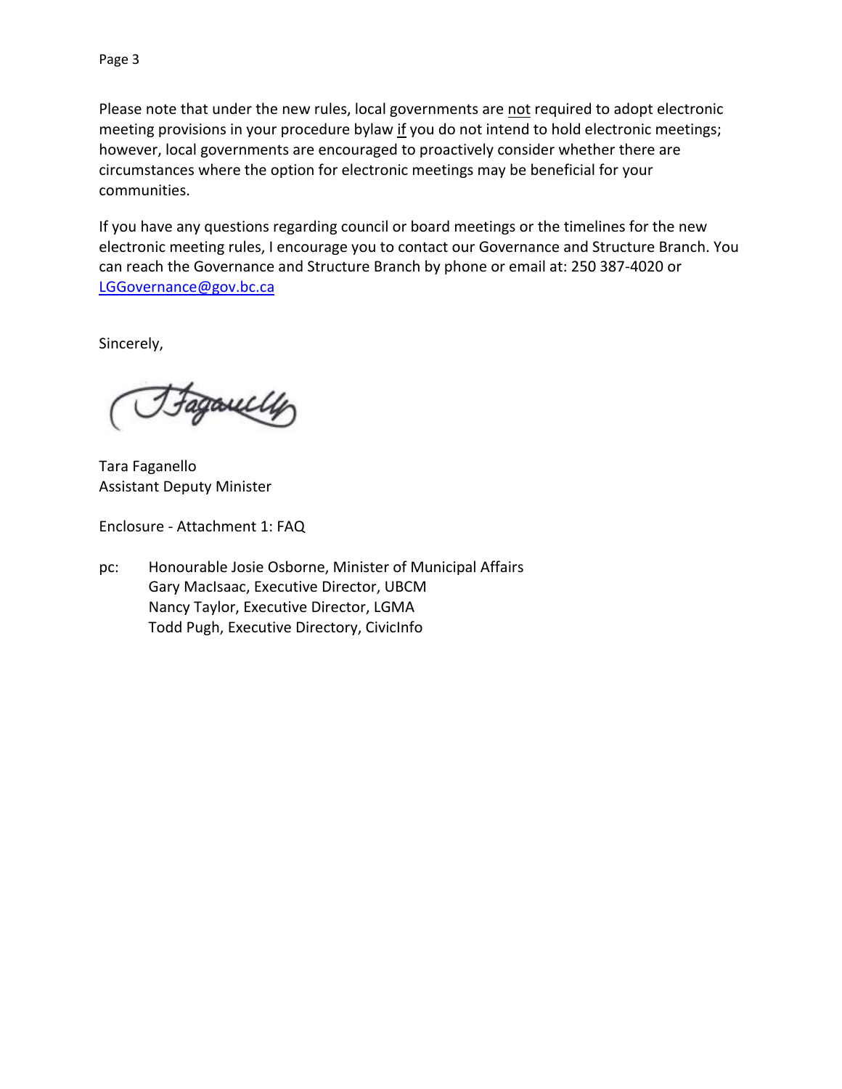Please note that under the new rules, local governments are not required to adopt electronic meeting provisions in your procedure bylaw if you do not intend to hold electronic meetings; however, local governments are encouraged to proactively consider whether there are circumstances where the option for electronic meetings may be beneficial for your communities.

If you have any questions regarding council or board meetings or the timelines for the new electronic meeting rules, I encourage you to contact our Governance and Structure Branch. You can reach the Governance and Structure Branch by phone or email at: 250 387-4020 or [LGGovernance@gov.bc.ca](mailto:LGGovernance@gov.bc.ca)

Sincerely,

rgaully

Tara Faganello Assistant Deputy Minister

Enclosure - Attachment 1: FAQ

pc: Honourable Josie Osborne, Minister of Municipal Affairs Gary MacIsaac, Executive Director, UBCM Nancy Taylor, Executive Director, LGMA Todd Pugh, Executive Directory, CivicInfo